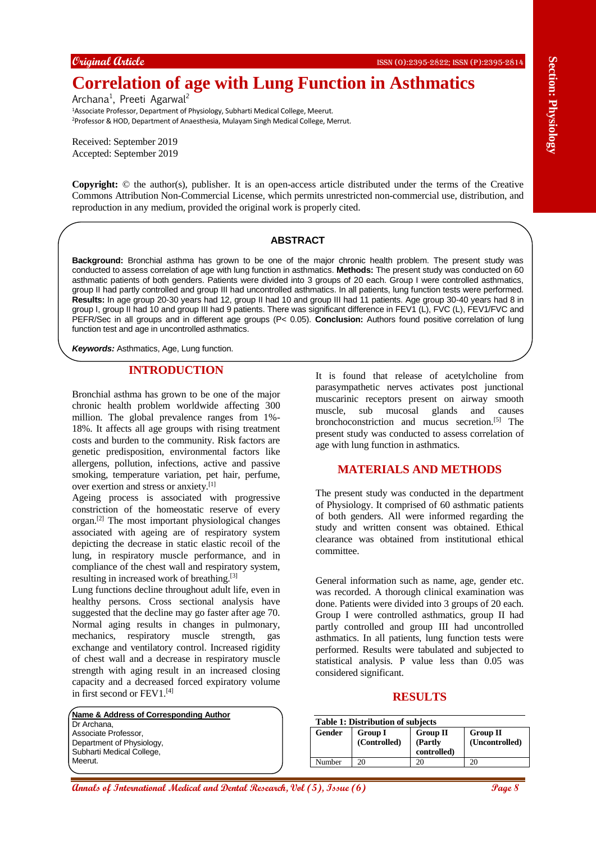# **Correlation of age with Lung Function in Asthmatics**

Archana<sup>1</sup>, Preeti Agarwal<sup>2</sup> <sup>1</sup>Associate Professor, Department of Physiology, Subharti Medical College, Meerut. <sup>2</sup>Professor & HOD, Department of Anaesthesia, Mulayam Singh Medical College, Merrut.

Received: September 2019 Accepted: September 2019

**Copyright:** © the author(s), publisher. It is an open-access article distributed under the terms of the Creative Commons Attribution Non-Commercial License, which permits unrestricted non-commercial use, distribution, and reproduction in any medium, provided the original work is properly cited.

#### **ABSTRACT**

**Annals of Controlline Controlline Controlline Controlline Controlline Controlline Controlline Controlline Controlline Controlline Controlline Controlline Controlline Controlline Controlline Controlline Controlline Control Background:** Bronchial asthma has grown to be one of the major chronic health problem. The present study was conducted to assess correlation of age with lung function in asthmatics. **Methods:** The present study was conducted on 60 asthmatic patients of both genders. Patients were divided into 3 groups of 20 each. Group I were controlled asthmatics, group II had partly controlled and group III had uncontrolled asthmatics. In all patients, lung function tests were performed. **Results:** In age group 20-30 years had 12, group II had 10 and group III had 11 patients. Age group 30-40 years had 8 in group I, group II had 10 and group III had 9 patients. There was significant difference in FEV1 (L), FVC (L), FEV1/FVC and PEFR/Sec in all groups and in different age groups (P< 0.05). **Conclusion:** Authors found positive correlation of lung function test and age in uncontrolled asthmatics.

*Keywords:* Asthmatics, Age, Lung function.

#### **INTRODUCTION**

Bronchial asthma has grown to be one of the major chronic health problem worldwide affecting 300 million. The global prevalence ranges from 1%- 18%. It affects all age groups with rising treatment costs and burden to the community. Risk factors are genetic predisposition, environmental factors like allergens, pollution, infections, active and passive smoking, temperature variation, pet hair, perfume, over exertion and stress or anxiety.[1]

Ageing process is associated with progressive constriction of the homeostatic reserve of every organ.[2] The most important physiological changes associated with ageing are of respiratory system depicting the decrease in static elastic recoil of the lung, in respiratory muscle performance, and in compliance of the chest wall and respiratory system, resulting in increased work of breathing.[3]

Lung functions decline throughout adult life, even in healthy persons. Cross sectional analysis have suggested that the decline may go faster after age 70. Normal aging results in changes in pulmonary, mechanics, respiratory muscle strength, gas exchange and ventilatory control. Increased rigidity of chest wall and a decrease in respiratory muscle strength with aging result in an increased closing capacity and a decreased forced expiratory volume in first second or FEV1.[4]

**Name & Address of Corresponding Author** Dr Archana, Associate Professor, Department of Physiology, Subharti Medical College, Meerut.

It is found that release of acetylcholine from parasympathetic nerves activates post junctional muscarinic receptors present on airway smooth muscle, sub mucosal glands and causes bronchoconstriction and mucus secretion.<sup>[5]</sup> The present study was conducted to assess correlation of age with lung function in asthmatics.

## **MATERIALS AND METHODS**

The present study was conducted in the department of Physiology. It comprised of 60 asthmatic patients of both genders. All were informed regarding the study and written consent was obtained. Ethical clearance was obtained from institutional ethical committee.

General information such as name, age, gender etc. was recorded. A thorough clinical examination was done. Patients were divided into 3 groups of 20 each. Group I were controlled asthmatics, group II had partly controlled and group III had uncontrolled asthmatics. In all patients, lung function tests were performed. Results were tabulated and subjected to statistical analysis. P value less than 0.05 was considered significant.

## **RESULTS**

| <b>Table 1: Distribution of subjects</b> |                                |                                           |                            |  |  |  |  |
|------------------------------------------|--------------------------------|-------------------------------------------|----------------------------|--|--|--|--|
| Gender                                   | <b>Group I</b><br>(Controlled) | <b>Group II</b><br>(Partly<br>controlled) | Group II<br>(Uncontrolled) |  |  |  |  |
| Number                                   |                                |                                           |                            |  |  |  |  |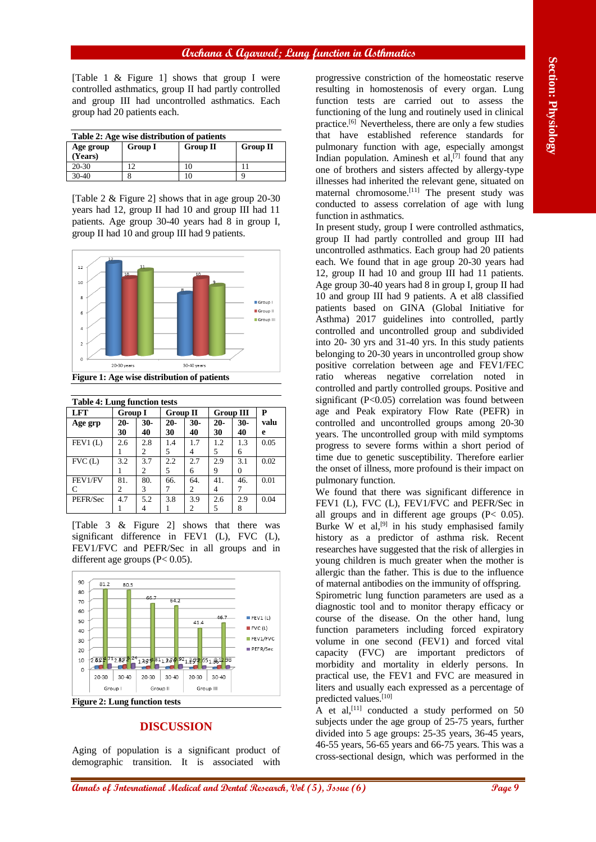## **Archana & Agarwal; Lung function in Asthmatics**

[Table 1 & Figure 1] shows that group I were controlled asthmatics, group II had partly controlled and group III had uncontrolled asthmatics. Each group had 20 patients each.

| Table 2: Age wise distribution of patients |                |          |                 |  |  |  |  |  |
|--------------------------------------------|----------------|----------|-----------------|--|--|--|--|--|
| Age group<br>(Years)                       | <b>Group I</b> | Group II | <b>Group II</b> |  |  |  |  |  |
| $20 - 30$                                  | 12             | 10       |                 |  |  |  |  |  |
| $30-40$                                    |                | 10       |                 |  |  |  |  |  |

[Table 2 & Figure 2] shows that in age group 20-30 years had 12, group II had 10 and group III had 11 patients. Age group 30-40 years had 8 in group I, group II had 10 and group III had 9 patients.



| <b>Table 4: Lung function tests</b> |                |     |                 |       |                  |       |      |  |  |
|-------------------------------------|----------------|-----|-----------------|-------|------------------|-------|------|--|--|
| LFT                                 | <b>Group I</b> |     | <b>Group II</b> |       | <b>Group III</b> |       | P    |  |  |
| Age grp                             | $20-$          | 30- | $20-$           | $30-$ | $20-$            | $30-$ | valu |  |  |
|                                     | 30             | 40  | 30              | 40    | 30               | 40    | е    |  |  |
| FEV1(L)                             | 2.6            | 2.8 | 1.4             | 1.7   | 1.2              | 1.3   | 0.05 |  |  |
|                                     |                | 2   | 5               |       | 5                | 6     |      |  |  |
| FVC(L)                              | 3.2            | 3.7 | 2.2             | 2.7   | 2.9              | 3.1   | 0.02 |  |  |
|                                     |                | 2   | 5               | 6     | 9                | 0     |      |  |  |
| FEV1/FV                             | 81.            | 80. | 66.             | 64.   | 41.              | 46.   | 0.01 |  |  |
| C                                   | 2              | 3   | 7               | 2     | 4                |       |      |  |  |
| PEFR/Sec                            | 4.7            | 5.2 | 3.8             | 3.9   | 2.6              | 2.9   | 0.04 |  |  |
|                                     |                |     |                 | 2     | 5                | 8     |      |  |  |

[Table 3 & Figure 2] shows that there was significant difference in FEV1 (L), FVC (L), FEV1/FVC and PEFR/Sec in all groups and in different age groups (P< 0.05).



### **DISCUSSION**

Aging of population is a significant product of demographic transition. It is associated with

progressive constriction of the homeostatic reserve resulting in homostenosis of every organ. Lung function tests are carried out to assess the functioning of the lung and routinely used in clinical practice.[6] Nevertheless, there are only a few studies that have established reference standards for pulmonary function with age, especially amongst Indian population. Aminesh et  $al$ , [7] found that any one of brothers and sisters affected by allergy-type illnesses had inherited the relevant gene, situated on maternal chromosome. [11] The present study was conducted to assess correlation of age with lung function in asthmatics.

**Annals of International Medical and Dental Research, Vol (5), Issue (6) Page 9 Section: Physiology** In present study, group I were controlled asthmatics, group II had partly controlled and group III had uncontrolled asthmatics. Each group had 20 patients each. We found that in age group 20-30 years had 12, group II had 10 and group III had 11 patients. Age group 30-40 years had 8 in group I, group II had 10 and group III had 9 patients. A et al8 classified patients based on GINA (Global Initiative for Asthma) 2017 guidelines into controlled, partly controlled and uncontrolled group and subdivided into 20- 30 yrs and 31-40 yrs. In this study patients belonging to 20-30 years in uncontrolled group show positive correlation between age and FEV1/FEC ratio whereas negative correlation noted in controlled and partly controlled groups. Positive and significant (P<0.05) correlation was found between age and Peak expiratory Flow Rate (PEFR) in controlled and uncontrolled groups among 20-30 years. The uncontrolled group with mild symptoms progress to severe forms within a short period of time due to genetic susceptibility. Therefore earlier the onset of illness, more profound is their impact on pulmonary function.

We found that there was significant difference in FEV1 (L), FVC (L), FEV1/FVC and PEFR/Sec in all groups and in different age groups (P< 0.05). Burke W et al, $^{[9]}$  in his study emphasised family history as a predictor of asthma risk. Recent researches have suggested that the risk of allergies in young children is much greater when the mother is allergic than the father. This is due to the influence of maternal antibodies on the immunity of offspring. Spirometric lung function parameters are used as a diagnostic tool and to monitor therapy efficacy or course of the disease. On the other hand, lung function parameters including forced expiratory volume in one second (FEV1) and forced vital capacity (FVC) are important predictors of morbidity and mortality in elderly persons. In practical use, the FEV1 and FVC are measured in

liters and usually each expressed as a percentage of predicted values.[10] A et al,<sup>[11]</sup> conducted a study performed on 50 subjects under the age group of 25-75 years, further divided into 5 age groups: 25-35 years, 36-45 years, 46-55 years, 56-65 years and 66-75 years. This was a

cross-sectional design, which was performed in the